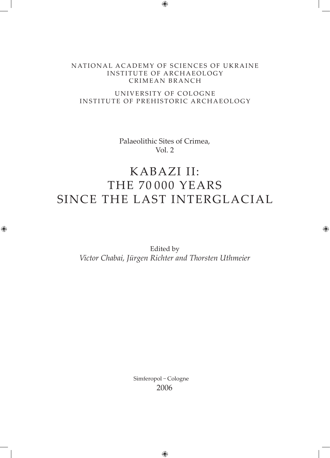#### NATIONAL ACADEMY OF SCIENCES OF UKRAINE INSTITUTE OF ARCHAEOLOGY CRIMEAN BRANCH

#### UNIVERSITY OF COLOGNE INSTITUTE OF PREHISTORIC ARCHAEOLOGY

Palaeolithic Sites of Crimea, Vol. 2

## KABAZI II: THE 70 000 YEARS SINCE THE LAST INTERGLACIAL

Edited by *Victor Chabai, Jürgen Richter and Thorsten Uthmeier*

> Simferopol – Cologne 2006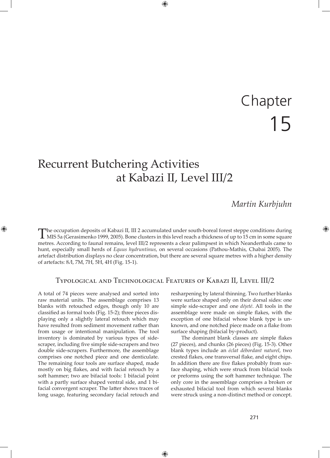# 15 Chapter

## Recurrent Butchering Activities at Kabazi II, Level III/2

#### *Martin Kurbjuhn*

The occupation deposits of Kabazi II, III 2 accumulated under south-boreal forest steppe conditions during MIS 5a (Gerasimenko 1999, 2005). Bone clusters in this level reach a thickness of up to 15 cm in some square metres. According to faunal remains, level III/2 represents a clear palimpsest in which Neanderthals came to hunt, especially small herds of *Equus hydruntinus*, on several occasions (Pathou-Mathis, Chabai 2005). The artefact distribution displays no clear concentration, but there are several square metres with a higher density of artefacts: 8Л, 7М, 7Н, 5Н, 4Н (Fig. 15-1).

#### Typological and Technological Features of Kabazi II, Level III/2

A total of 74 pieces were analysed and sorted into raw material units. The assemblage comprises 13 blanks with retouched edges, though only 10 are classified as formal tools (Fig. 15-2); three pieces displaying only a slightly lateral retouch which may have resulted from sediment movement rather than from usage or intentional manipulation. The tool inventory is dominated by various types of sidescraper, including five simple side-scrapers and two double side-scrapers. Furthermore, the assemblage comprises one notched piece and one denticulate. The remaining four tools are surface shaped, made mostly on big flakes, and with facial retouch by a soft hammer; two are bifacial tools: 1 bifacial point with a partly surface shaped ventral side, and 1 bifacial convergent scraper. The latter shows traces of long usage, featuring secondary facial retouch and resharpening by lateral thinning. Two further blanks were surface shaped only on their dorsal sides: one simple side-scraper and one *déjeté*. All tools in the assemblage were made on simple flakes, with the exception of one bifacial whose blank type is unknown, and one notched piece made on a flake from surface shaping (bifacial by-product).

The dominant blank classes are simple flakes (27 pieces), and chunks (26 pieces) (Fig. 15-3). Other blank types include an *éclat débordant naturel*, two crested flakes, one transversal flake, and eight chips. In addition there are five flakes probably from surface shaping, which were struck from bifacial tools or preforms using the soft hammer technique. The only core in the assemblage comprises a broken or exhausted bifacial tool from which several blanks were struck using a non-distinct method or concept.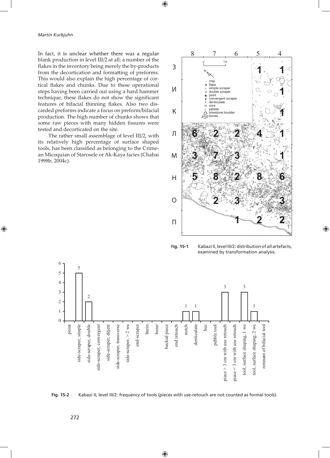In fact, it is unclear whether there was a regular blank production in level III/2 at all; a number of the flakes in the inventory being merely the by-products from the decortication and formatting of preforms. This would also explain the high percentage of cortical flakes and chunks. Due to these operational steps having been carried out using a hard hammer technique, these flakes do not show the significant features of bifacial thinning flakes. Also two discarded preforms indicate a focus on preform/bifacial production. The high number of chunks shows that some raw pieces with many hidden fissures were tested and decorticated on the site.

The rather small assemblage of level III/2, with its relatively high percentage of surface shaped tools, has been classified as belonging to the Crimean Micoquian of Starosele or Ak-Kaya facies (Chabai 1998b, 2004c).



**Fig. 15-1** Kabazi II, level III/2: distribution of all artefacts, examined by transformation analysis.



**Fig. 15-2** Kabazi II, level III/2: frequency of tools (pieces with use-retouch are not counted as formal tools).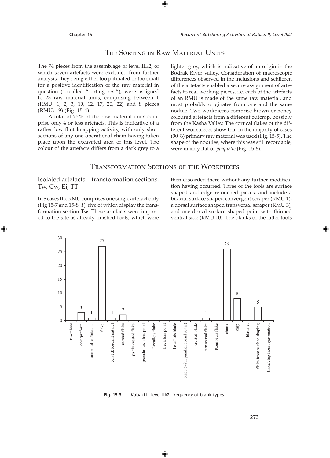#### THE SORTING IN RAW MATERIAL UNITS

The 74 pieces from the assemblage of level III/2, of which seven artefacts were excluded from further analysis, they being either too patinated or too small for a positive identification of the raw material in question (so-called "sorting rest"), were assigned to 23 raw material units, comprising between 1 (RMU: 1, 2, 3, 10, 12, 17, 20, 22) and 8 pieces (RMU: 19) (Fig. 15-4).

A total of 75 % of the raw material units comprise only 4 or less artefacts. This is indicative of a rather low flint knapping activity, with only short sections of any one operational chain having taken place upon the excavated area of this level. The colour of the artefacts differs from a dark grey to a

lighter grey, which is indicative of an origin in the Bodrak River valley. Consideration of macroscopic differences observed in the inclusions and schlieren of the artefacts enabled a secure assignment of artefacts to real working pieces, i.e. each of the artefacts of an RMU is made of the same raw material, and most probably originates from one and the same nodule. Two workpieces comprise brown or honey coloured artefacts from a different outcrop, possibly from the Kasha Valley. The cortical flakes of the different workpieces show that in the majority of cases (90 %) primary raw material was used (Fig. 15-5). The shape of the nodules, where this was still recordable, were mainly flat or *plaquette* (Fig. 15-6).

#### TRANSFORMATION SECTIONS OF THE WORKPIECES

#### Isolated artefacts – transformation sections: Tw, Cw, Ei, TT

In 8 cases the RMU comprises one single artefact only (Fig 15-7 and 15-8,  $1$ ), five of which display the transformation section **Tw**. These artefacts were imported to the site as already finished tools, which were

then discarded there without any further modification having occurred. Three of the tools are surface shaped and edge retouched pieces, and include a bifacial surface shaped convergent scraper (RMU 1), a dorsal surface shaped transversal scraper (RMU 3), and one dorsal surface shaped point with thinned ventral side (RMU 10). The blanks of the latter tools



**Fig. 15-3** Kabazi II, level III/2: frequency of blank types.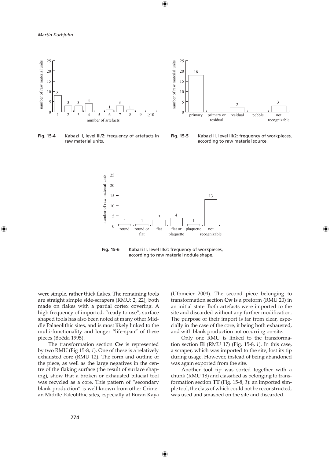

raw material units.





**Fig. 15-5** Kabazi II, level III/2: frequency of workpieces, according to raw material source.



**Fig. 15-6** Kabazi II, level III/2: frequency of workpieces, according to raw material nodule shape.

were simple, rather thick flakes. The remaining tools are straight simple side-scrapers (RMU: 2, 22), both made on flakes with a partial cortex covering. A high frequency of imported, "ready to use", surface shaped tools has also been noted at many other Middle Palaeolithic sites, and is most likely linked to the multi-functionality and longer "life-span" of these pieces (Boëda 1995).

The transformation section **Cw** is represented by two RMU (Fig 15-8, *1*). One of these is a relatively exhausted core (RMU 12). The form and outline of the piece, as well as the large negatives in the centre of the flaking surface (the result of surface shaping), show that a broken or exhausted bifacial tool was recycled as a core. This pattern of "secondary blank production" is well known from other Crimean Middle Paleolithic sites, especially at Buran Kaya (Uthmeier 2004). The second piece belonging to transformation section **Cw** is a preform (RMU 20) in an initial state. Both artefacts were imported to the site and discarded without any further modification. The purpose of their import is far from clear, especially in the case of the core, it being both exhausted, and with blank production not occurring on-site.

Only one RMU is linked to the transformation section **Ei** (RMU 17) (Fig. 15-8, *1*). In this case, a scraper, which was imported to the site, lost its tip during usage. However, instead of being abandoned was again exported from the site.

Another tool tip was sorted together with a chunk (RMU 18) and classified as belonging to transformation section **TT** (Fig. 15-8, *1*): an imported simple tool, the class of which could not be reconstructed, was used and smashed on the site and discarded.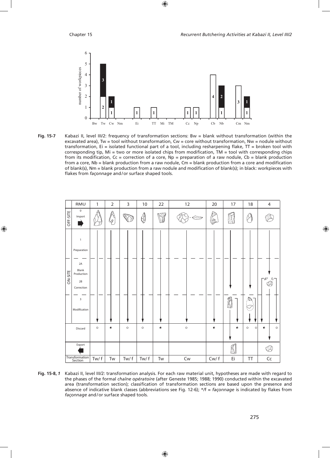

Fig. 15-7 Kabazi II, level III/2: frequency of transformation sections: Bw = blank without transformation (within the excavated area), Tw = tool without transformation, Cw = core without transformation, Nw = nodule without transformation, Ei = isolated functional part of a tool, including resharpening flake, TT = broken tool with corresponding tip,  $Mi = two$  or more isolated chips from modification,  $TM = tool$  with corresponding chips from its modification,  $Cc =$  correction of a core,  $Np =$  preparation of a raw nodule,  $Cb =$  blank production from a core, Nb = blank production from a raw nodule, Cm = blank production from a core and modification of blank(s), Nm = blank production from a raw nodule and modification of blank(s); in black: workpieces with flakes from façonnage and/or surface shaped tools.



Fig. 15-8, 1 Kabazi II, level III/2: transformation analysis. For each raw material unit, hypotheses are made with regard to the phases of the formal chaîne opératoire (after Geneste 1985; 1988; 1990) conducted within the excavated area (transformation section); classification of transformation sections are based upon the presence and absence of indicative blank classes (abbreviations see Fig. 12-6);  $*f = fa\zetaonnage$  is indicated by flakes from façonnage and/or surface shaped tools.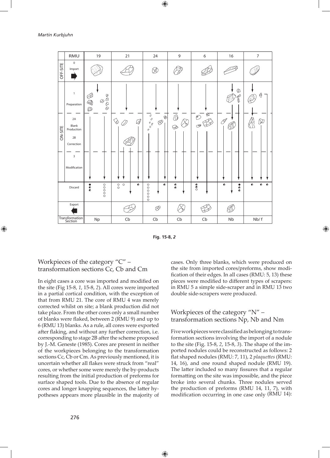|                           | RMU                                                                                               | 19                                                                                                                                                                                                                                                                                                                                                                                         | 21                                         | 24                                                                                                                                                                                                                 | 9                          | 6                                           | $16$                                | $\overline{7}$                      |
|---------------------------|---------------------------------------------------------------------------------------------------|--------------------------------------------------------------------------------------------------------------------------------------------------------------------------------------------------------------------------------------------------------------------------------------------------------------------------------------------------------------------------------------------|--------------------------------------------|--------------------------------------------------------------------------------------------------------------------------------------------------------------------------------------------------------------------|----------------------------|---------------------------------------------|-------------------------------------|-------------------------------------|
| OFF-SITE                  | $\mathbf 0$<br>Import                                                                             |                                                                                                                                                                                                                                                                                                                                                                                            |                                            | V.                                                                                                                                                                                                                 |                            |                                             |                                     |                                     |
| ON-SITE                   | $\mathbf{1}$<br>Preparation<br>2A<br>Blank<br>Production<br>2B<br>Correction<br>3<br>Modification | $\begin{picture}(180,10) \put(0,0){\line(1,0){10}} \put(0,0){\line(1,0){10}} \put(0,0){\line(1,0){10}} \put(0,0){\line(1,0){10}} \put(0,0){\line(1,0){10}} \put(0,0){\line(1,0){10}} \put(0,0){\line(1,0){10}} \put(0,0){\line(1,0){10}} \put(0,0){\line(1,0){10}} \put(0,0){\line(1,0){10}} \put(0,0){\line(1,0){10}} \put(0,0){\line(1,0){10}} \put(0$<br>B<br>$\mathbb{Q}$<br>$\oslash$ | Ø<br>$\Diamond$                            | $\begin{matrix} \circ & \circ & \circ & \circ \\ \circ & \circ & \circ & \circ \\ \circ & \circ & \circ & \circ \end{matrix}$<br>$\begin{array}{c} \mathbf{1}_{\text{max}} \\ \mathbf{1}_{\text{max}} \end{array}$ | $\overline{\bigcirc}$<br>⊕ | $\otimes$<br>$\circledcirc$<br>$\mathcal O$ | <b>D</b><br>D<br>Ī<br>$\mathscr{I}$ | Θ<br>᠓                              |
|                           | Discard                                                                                           | 00000<br>$\bullet$                                                                                                                                                                                                                                                                                                                                                                         | $_{\circ}^{\circ}$<br>$\circ$<br>$\bullet$ | $\bullet$<br>000000                                                                                                                                                                                                | $\bullet$                  | $\bullet$                                   | $\bullet$<br>$\bullet$<br>$\bullet$ | $\bullet$<br>$\bullet$<br>$\bullet$ |
| Export                    |                                                                                                   |                                                                                                                                                                                                                                                                                                                                                                                            |                                            | $\oslash$                                                                                                                                                                                                          |                            |                                             |                                     |                                     |
| Transformation<br>Section |                                                                                                   | Np                                                                                                                                                                                                                                                                                                                                                                                         | $\mathsf{Cb}$                              | $\mathsf{Cb}$                                                                                                                                                                                                      | Cb                         | Cb                                          | Nb                                  | Nb/f                                |

Fig. 15-8, 2

#### Workpieces of the category " $C$ " – transformation sections Cc, Cb and Cm

In eight cases a core was imported and modified on the site (Fig 15-8, 1, 15-8, 2). All cores were imported in a partial cortical condition, with the exception of that from RMU 21. The core of RMU 4 was merely corrected whilst on site; a blank production did not take place. From the other cores only a small number of blanks were flaked, between 2 (RMU 9) and up to 6 (RMU 13) blanks. As a rule, all cores were exported after flaking, and without any further correction, i.e. corresponding to stage 2B after the scheme proposed by J.-M. Geneste (1985). Cores are present in neither of the workpieces belonging to the transformation sections Cc, Cb or Cm. As previously mentioned, it is uncertain whether all flakes were struck from "real" cores, or whether some were merely the by-products resulting from the initial production of preforms for surface shaped tools. Due to the absence of regular cores and longer knapping sequences, the latter hypotheses appears more plausible in the majority of

cases. Only three blanks, which were produced on the site from imported cores/preforms, show modification of their edges. In all cases (RMU: 5, 13) these pieces were modified to different types of scrapers: in RMU 5 a simple side-scraper and in RMU 13 two double side-scrapers were produced.

#### Workpieces of the category "N" transformation sections Np, Nb and Nm

Five workpieces were classified as belonging to transformation sections involving the import of a nodule to the site (Fig. 15-8, 2, 15-8, 3). The shape of the imported nodules could be reconstructed as follows: 2 flat shaped nodules (RMU: 7, 11), 2 plaquettes (RMU: 14, 16), and one round shaped nodule (RMU 19). The latter included so many fissures that a regular formatting on the site was impossible, and the piece broke into several chunks. Three nodules served the production of preforms (RMU 14, 11, 7), with modification occurring in one case only (RMU 14):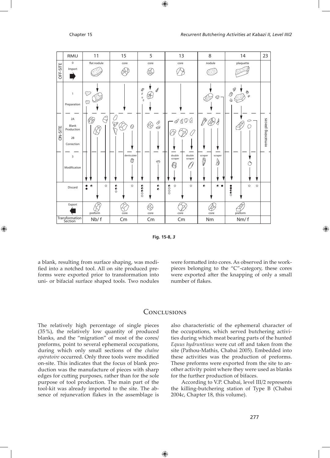

Fig. 15-8, 3

a blank, resulting from surface shaping, was modified into a notched tool. All on site produced preforms were exported prior to transformation into uni- or bifacial surface shaped tools. Two nodules were formatted into cores. As observed in the workpieces belonging to the "C"-category, these cores were exported after the knapping of only a small number of flakes.

#### CONCLUSIONS

The relatively high percentage of single pieces (35%), the relatively low quantity of produced blanks, and the "migration" of most of the cores/ preforms, point to several ephemeral occupations, during which only small sections of the chaîne opératoire occurred. Only three tools were modified on-site. This indicates that the focus of blank production was the manufacture of pieces with sharp edges for cutting purposes, rather than for the sole purpose of tool production. The main part of the tool-kit was already imported to the site. The absence of rejunevation flakes in the assemblage is also characteristic of the ephemeral character of the occupations, which served butchering activities during which meat bearing parts of the hunted Equus hydruntinus were cut off and taken from the site (Pathou-Mathis, Chabai 2005). Embedded into these activities was the production of preforms. These preforms were exported from the site to another activity point where they were used as blanks for the further production of bifaces.

According to V.P. Chabai, level III/2 represents the killing-butchering station of Type B (Chabai 2004c, Chapter 18, this volume).